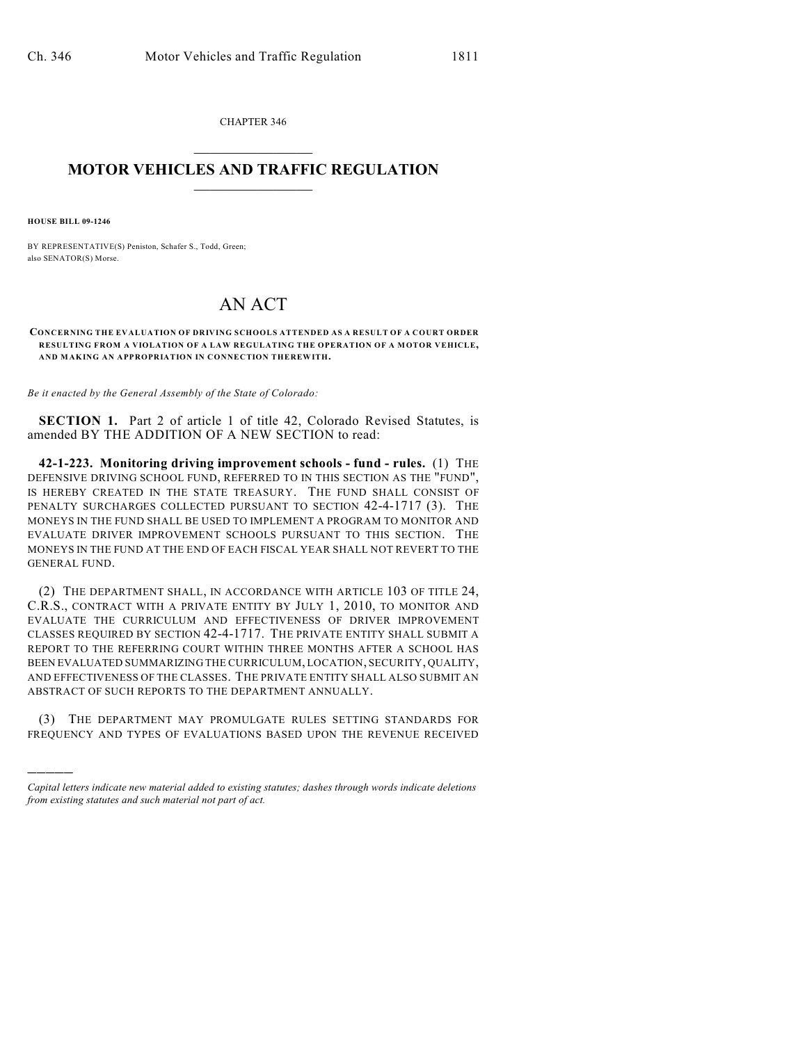CHAPTER 346  $\overline{\phantom{a}}$  . The set of the set of the set of the set of the set of the set of the set of the set of the set of the set of the set of the set of the set of the set of the set of the set of the set of the set of the set o

## **MOTOR VEHICLES AND TRAFFIC REGULATION**  $\frac{1}{2}$  ,  $\frac{1}{2}$  ,  $\frac{1}{2}$  ,  $\frac{1}{2}$  ,  $\frac{1}{2}$  ,  $\frac{1}{2}$  ,  $\frac{1}{2}$  ,  $\frac{1}{2}$

**HOUSE BILL 09-1246**

)))))

BY REPRESENTATIVE(S) Peniston, Schafer S., Todd, Green; also SENATOR(S) Morse.

## AN ACT

**CONCERNING THE EVALUATION OF DRIVING SCHOOLS ATTENDED AS A RESULT OF A COURT ORDER RESULTING FROM A VIOLATION OF A LAW REGULATING THE OPERATION OF A MOTOR VEHICLE, AND MAKING AN APPROPRIATION IN CONNECTION THEREWITH.**

*Be it enacted by the General Assembly of the State of Colorado:*

**SECTION 1.** Part 2 of article 1 of title 42, Colorado Revised Statutes, is amended BY THE ADDITION OF A NEW SECTION to read:

**42-1-223. Monitoring driving improvement schools - fund - rules.** (1) THE DEFENSIVE DRIVING SCHOOL FUND, REFERRED TO IN THIS SECTION AS THE "FUND", IS HEREBY CREATED IN THE STATE TREASURY. THE FUND SHALL CONSIST OF PENALTY SURCHARGES COLLECTED PURSUANT TO SECTION 42-4-1717 (3). THE MONEYS IN THE FUND SHALL BE USED TO IMPLEMENT A PROGRAM TO MONITOR AND EVALUATE DRIVER IMPROVEMENT SCHOOLS PURSUANT TO THIS SECTION. THE MONEYS IN THE FUND AT THE END OF EACH FISCAL YEAR SHALL NOT REVERT TO THE GENERAL FUND.

(2) THE DEPARTMENT SHALL, IN ACCORDANCE WITH ARTICLE 103 OF TITLE 24, C.R.S., CONTRACT WITH A PRIVATE ENTITY BY JULY 1, 2010, TO MONITOR AND EVALUATE THE CURRICULUM AND EFFECTIVENESS OF DRIVER IMPROVEMENT CLASSES REQUIRED BY SECTION 42-4-1717. THE PRIVATE ENTITY SHALL SUBMIT A REPORT TO THE REFERRING COURT WITHIN THREE MONTHS AFTER A SCHOOL HAS BEEN EVALUATED SUMMARIZING THE CURRICULUM, LOCATION, SECURITY, QUALITY, AND EFFECTIVENESS OF THE CLASSES. THE PRIVATE ENTITY SHALL ALSO SUBMIT AN ABSTRACT OF SUCH REPORTS TO THE DEPARTMENT ANNUALLY.

(3) THE DEPARTMENT MAY PROMULGATE RULES SETTING STANDARDS FOR FREQUENCY AND TYPES OF EVALUATIONS BASED UPON THE REVENUE RECEIVED

*Capital letters indicate new material added to existing statutes; dashes through words indicate deletions from existing statutes and such material not part of act.*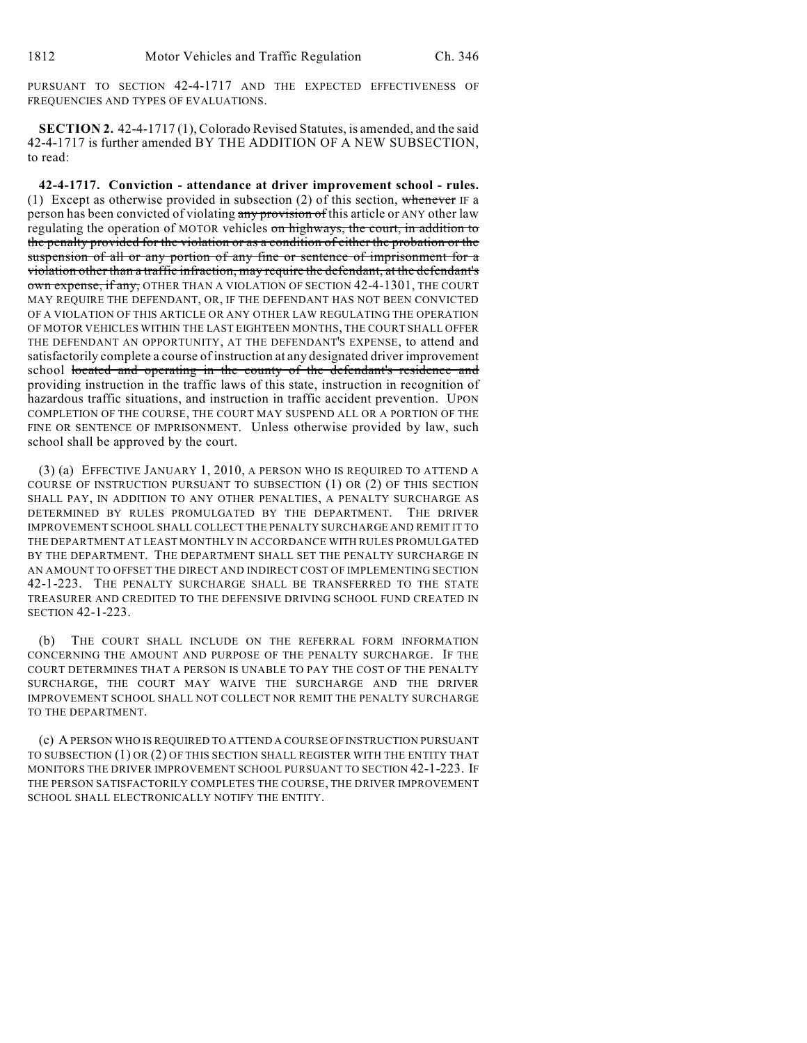PURSUANT TO SECTION 42-4-1717 AND THE EXPECTED EFFECTIVENESS OF FREQUENCIES AND TYPES OF EVALUATIONS.

**SECTION 2.** 42-4-1717 (1), Colorado Revised Statutes, is amended, and the said 42-4-1717 is further amended BY THE ADDITION OF A NEW SUBSECTION, to read:

**42-4-1717. Conviction - attendance at driver improvement school - rules.** (1) Except as otherwise provided in subsection (2) of this section, whenever IF a person has been convicted of violating any provision of this article or ANY other law regulating the operation of MOTOR vehicles on highways, the court, in addition to the penalty provided for the violation or as a condition of either the probation or the suspension of all or any portion of any fine or sentence of imprisonment for a violation other than a traffic infraction, may require the defendant, at the defendant's own expense, if any, OTHER THAN A VIOLATION OF SECTION 42-4-1301, THE COURT MAY REQUIRE THE DEFENDANT, OR, IF THE DEFENDANT HAS NOT BEEN CONVICTED OF A VIOLATION OF THIS ARTICLE OR ANY OTHER LAW REGULATING THE OPERATION OF MOTOR VEHICLES WITHIN THE LAST EIGHTEEN MONTHS, THE COURT SHALL OFFER THE DEFENDANT AN OPPORTUNITY, AT THE DEFENDANT'S EXPENSE, to attend and satisfactorily complete a course of instruction at any designated driver improvement school located and operating in the county of the defendant's residence and providing instruction in the traffic laws of this state, instruction in recognition of hazardous traffic situations, and instruction in traffic accident prevention. UPON COMPLETION OF THE COURSE, THE COURT MAY SUSPEND ALL OR A PORTION OF THE FINE OR SENTENCE OF IMPRISONMENT. Unless otherwise provided by law, such school shall be approved by the court.

(3) (a) EFFECTIVE JANUARY 1, 2010, A PERSON WHO IS REQUIRED TO ATTEND A COURSE OF INSTRUCTION PURSUANT TO SUBSECTION (1) OR (2) OF THIS SECTION SHALL PAY, IN ADDITION TO ANY OTHER PENALTIES, A PENALTY SURCHARGE AS DETERMINED BY RULES PROMULGATED BY THE DEPARTMENT. THE DRIVER IMPROVEMENT SCHOOL SHALL COLLECT THE PENALTY SURCHARGE AND REMIT IT TO THE DEPARTMENT AT LEAST MONTHLY IN ACCORDANCE WITH RULES PROMULGATED BY THE DEPARTMENT. THE DEPARTMENT SHALL SET THE PENALTY SURCHARGE IN AN AMOUNT TO OFFSET THE DIRECT AND INDIRECT COST OF IMPLEMENTING SECTION 42-1-223. THE PENALTY SURCHARGE SHALL BE TRANSFERRED TO THE STATE TREASURER AND CREDITED TO THE DEFENSIVE DRIVING SCHOOL FUND CREATED IN SECTION 42-1-223.

(b) THE COURT SHALL INCLUDE ON THE REFERRAL FORM INFORMATION CONCERNING THE AMOUNT AND PURPOSE OF THE PENALTY SURCHARGE. IF THE COURT DETERMINES THAT A PERSON IS UNABLE TO PAY THE COST OF THE PENALTY SURCHARGE, THE COURT MAY WAIVE THE SURCHARGE AND THE DRIVER IMPROVEMENT SCHOOL SHALL NOT COLLECT NOR REMIT THE PENALTY SURCHARGE TO THE DEPARTMENT.

(c) A PERSON WHO IS REQUIRED TO ATTEND A COURSE OF INSTRUCTION PURSUANT TO SUBSECTION (1) OR (2) OF THIS SECTION SHALL REGISTER WITH THE ENTITY THAT MONITORS THE DRIVER IMPROVEMENT SCHOOL PURSUANT TO SECTION 42-1-223. IF THE PERSON SATISFACTORILY COMPLETES THE COURSE, THE DRIVER IMPROVEMENT SCHOOL SHALL ELECTRONICALLY NOTIFY THE ENTITY.